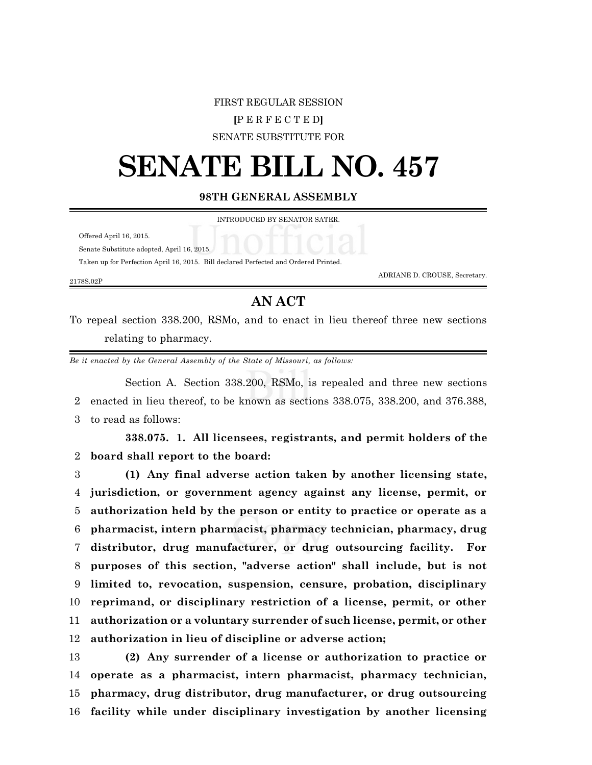## FIRST REGULAR SESSION **[**P E R F E C T E D**]** SENATE SUBSTITUTE FOR

## **SENATE BILL NO. 457**

## **98TH GENERAL ASSEMBLY**

INTRODUCED BY SENATOR SATER.

Offered April 16, 2015.

Senate Substitute adopted, April 16, 2015.

Taken up for Perfection April 16, 2015. Bill declared Perfected and Ordered Printed.

2178S.02P

ADRIANE D. CROUSE, Secretary.

## **AN ACT**

To repeal section 338.200, RSMo, and to enact in lieu thereof three new sections relating to pharmacy.

*Be it enacted by the General Assembly of the State of Missouri, as follows:*

Section A. Section 338.200, RSMo, is repealed and three new sections 2 enacted in lieu thereof, to be known as sections 338.075, 338.200, and 376.388, 3 to read as follows:

**338.075. 1. All licensees, registrants, and permit holders of the** 2 **board shall report to the board:**

 **(1) Any final adverse action taken by another licensing state, jurisdiction, or government agency against any license, permit, or authorization held by the person or entity to practice or operate as a pharmacist, intern pharmacist, pharmacy technician, pharmacy, drug distributor, drug manufacturer, or drug outsourcing facility. For purposes of this section, "adverse action" shall include, but is not limited to, revocation, suspension, censure, probation, disciplinary reprimand, or disciplinary restriction of a license, permit, or other authorization or a voluntary surrender of such license, permit, or other authorization in lieu of discipline or adverse action;**

 **(2) Any surrender of a license or authorization to practice or operate as a pharmacist, intern pharmacist, pharmacy technician, pharmacy, drug distributor, drug manufacturer, or drug outsourcing facility while under disciplinary investigation by another licensing**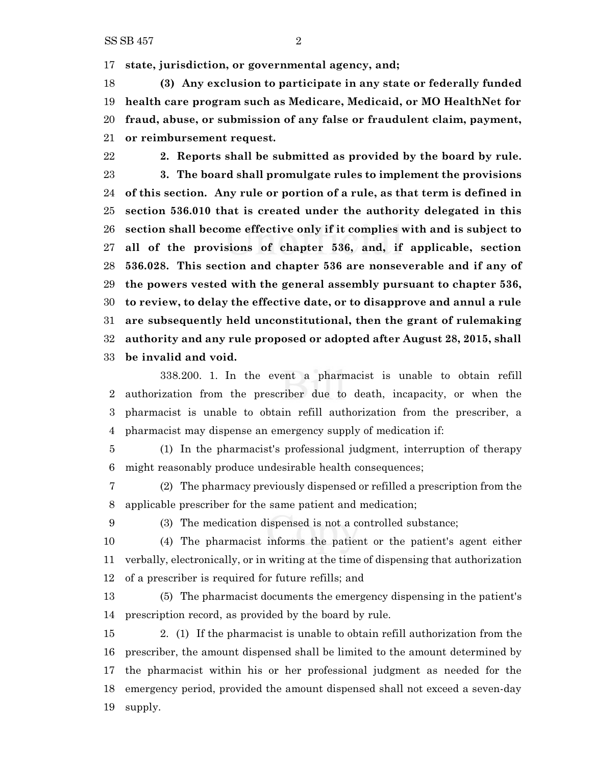**state, jurisdiction, or governmental agency, and;**

 **(3) Any exclusion to participate in any state or federally funded health care program such as Medicare, Medicaid, or MO HealthNet for fraud, abuse, or submission of any false or fraudulent claim, payment, or reimbursement request.**

 **2. Reports shall be submitted as provided by the board by rule. 3. The board shall promulgate rules to implement the provisions of this section. Any rule or portion of a rule, as that term is defined in section 536.010 that is created under the authority delegated in this section shall become effective only if it complies with and is subject to all of the provisions of chapter 536, and, if applicable, section 536.028. This section and chapter 536 are nonseverable and if any of the powers vested with the general assembly pursuant to chapter 536, to review, to delay the effective date, or to disapprove and annul a rule are subsequently held unconstitutional, then the grant of rulemaking authority and any rule proposed or adopted after August 28, 2015, shall be invalid and void.**

338.200. 1. In the event a pharmacist is unable to obtain refill authorization from the prescriber due to death, incapacity, or when the pharmacist is unable to obtain refill authorization from the prescriber, a pharmacist may dispense an emergency supply of medication if:

 (1) In the pharmacist's professional judgment, interruption of therapy might reasonably produce undesirable health consequences;

 (2) The pharmacy previously dispensed or refilled a prescription from the applicable prescriber for the same patient and medication;

(3) The medication dispensed is not a controlled substance;

 (4) The pharmacist informs the patient or the patient's agent either verbally, electronically, or in writing at the time of dispensing that authorization of a prescriber is required for future refills; and

 (5) The pharmacist documents the emergency dispensing in the patient's prescription record, as provided by the board by rule.

 2. (1) If the pharmacist is unable to obtain refill authorization from the prescriber, the amount dispensed shall be limited to the amount determined by the pharmacist within his or her professional judgment as needed for the emergency period, provided the amount dispensed shall not exceed a seven-day supply.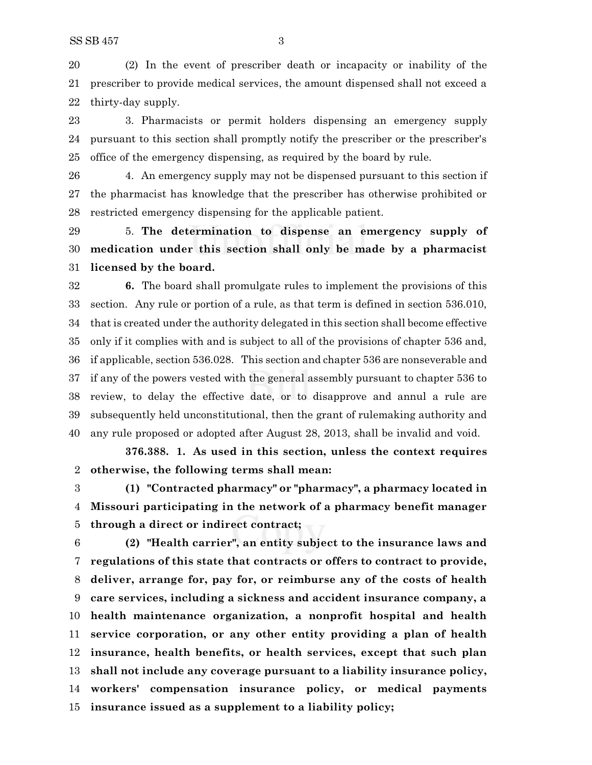(2) In the event of prescriber death or incapacity or inability of the prescriber to provide medical services, the amount dispensed shall not exceed a thirty-day supply.

 3. Pharmacists or permit holders dispensing an emergency supply pursuant to this section shall promptly notify the prescriber or the prescriber's office of the emergency dispensing, as required by the board by rule.

 4. An emergency supply may not be dispensed pursuant to this section if the pharmacist has knowledge that the prescriber has otherwise prohibited or restricted emergency dispensing for the applicable patient.

 5. **The determination to dispense an emergency supply of medication under this section shall only be made by a pharmacist licensed by the board.**

 **6.** The board shall promulgate rules to implement the provisions of this section. Any rule or portion of a rule, as that term is defined in section 536.010, that is created under the authority delegated in this section shall become effective only if it complies with and is subject to all of the provisions of chapter 536 and, if applicable, section 536.028. This section and chapter 536 are nonseverable and if any of the powers vested with the general assembly pursuant to chapter 536 to review, to delay the effective date, or to disapprove and annul a rule are subsequently held unconstitutional, then the grant of rulemaking authority and any rule proposed or adopted after August 28, 2013, shall be invalid and void.

**376.388. 1. As used in this section, unless the context requires otherwise, the following terms shall mean:**

 **(1) "Contracted pharmacy" or "pharmacy", a pharmacy located in Missouri participating in the network of a pharmacy benefit manager through a direct or indirect contract;**

 **(2) "Health carrier", an entity subject to the insurance laws and regulations of this state that contracts or offers to contract to provide, deliver, arrange for, pay for, or reimburse any of the costs of health care services, including a sickness and accident insurance company, a health maintenance organization, a nonprofit hospital and health service corporation, or any other entity providing a plan of health insurance, health benefits, or health services, except that such plan shall not include any coverage pursuant to a liability insurance policy, workers' compensation insurance policy, or medical payments insurance issued as a supplement to a liability policy;**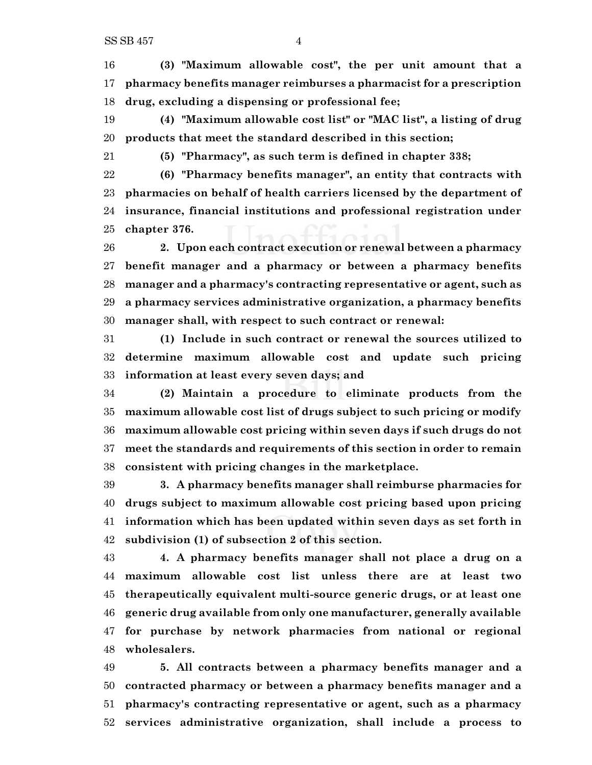**(3) "Maximum allowable cost", the per unit amount that a pharmacy benefits manager reimburses a pharmacist for a prescription drug, excluding a dispensing or professional fee;**

 **(4) "Maximum allowable cost list" or "MAC list", a listing of drug products that meet the standard described in this section;**

**(5) "Pharmacy", as such term is defined in chapter 338;**

 **(6) "Pharmacy benefits manager", an entity that contracts with pharmacies on behalf of health carriers licensed by the department of insurance, financial institutions and professional registration under chapter 376.**

 **2. Upon each contract execution or renewal between a pharmacy benefit manager and a pharmacy or between a pharmacy benefits manager and a pharmacy's contracting representative or agent, such as a pharmacy services administrative organization, a pharmacy benefits manager shall, with respect to such contract or renewal:**

 **(1) Include in such contract or renewal the sources utilized to determine maximum allowable cost and update such pricing information at least every seven days; and**

 **(2) Maintain a procedure to eliminate products from the maximum allowable cost list of drugs subject to such pricing or modify maximum allowable cost pricing within seven days if such drugs do not meet the standards and requirements of this section in order to remain consistent with pricing changes in the marketplace.**

 **3. A pharmacy benefits manager shall reimburse pharmacies for drugs subject to maximum allowable cost pricing based upon pricing information which has been updated within seven days as set forth in subdivision (1) of subsection 2 of this section.**

 **4. A pharmacy benefits manager shall not place a drug on a maximum allowable cost list unless there are at least two therapeutically equivalent multi-source generic drugs, or at least one generic drug available from only one manufacturer, generally available for purchase by network pharmacies from national or regional wholesalers.**

 **5. All contracts between a pharmacy benefits manager and a contracted pharmacy or between a pharmacy benefits manager and a pharmacy's contracting representative or agent, such as a pharmacy services administrative organization, shall include a process to**